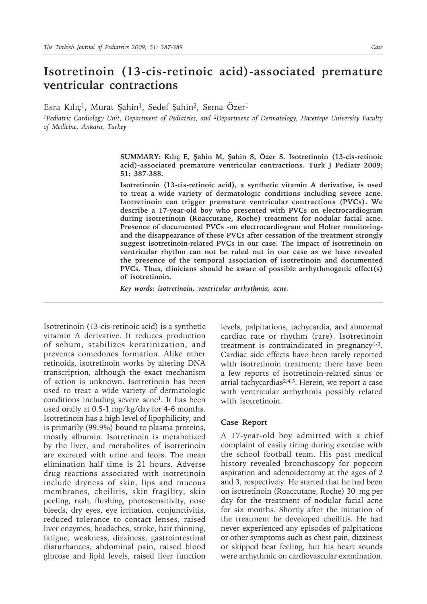## **Isotretinoin (13-cis-retinoic acid)-associated premature ventricular contractions**

Esra Kılıç<sup>1</sup>, Murat Şahin<sup>1</sup>, Sedef Şahin<sup>2</sup>, Sema Özer<sup>1</sup>

*<sup>1</sup>Pediatric Cardiology Unit, Department of Pediatrics, and 2Department of Dermatology, Hacettepe University Faculty of Medicine, Ankara, Turkey*

> **SUMMARY: Kılıç E, Şahin M, Şahin S, Özer S. Isotretinoin (13-cis-retinoic acid)-associated premature ventricular contractions. Turk J Pediatr 2009; 51: 387-388.**

> **Isotretinoin (13-cis-retinoic acid), a synthetic vitamin A derivative, is used to treat a wide variety of dermatologic conditions including severe acne. Isotretinoin can trigger premature ventricular contractions (PVCs). We describe a 17-year-old boy who presented with PVCs on electrocardiogram during isotretinoin (Roaccutane, Roche) treatment for nodular facial acne. Presence of documented PVCs -on electrocardiogram and Holter monitoringand the disappearance of these PVCs after cessation of the treatment strongly suggest isotretinoin-related PVCs in our case. The impact of isotretinoin on ventricular rhythm can not be ruled out in our case as we have revealed the presence of the temporal association of isotretinoin and documented PVCs. Thus, clinicians should be aware of possible arrhythmogenic effect(s) of isotretinoin.**

*Key words: isotretinoin, ventricular arrhythmia, acne.*

Isotretinoin (13-cis-retinoic acid) is a synthetic vitamin A derivative. It reduces production of sebum, stabilizes keratinization, and prevents comedones formation. Alike other retinoids, isotretinoin works by altering DNA transcription, although the exact mechanism of action is unknown. Isotretinoin has been used to treat a wide variety of dermatologic conditions including severe acne1. It has been used orally at 0.5-1 mg/kg/day for 4-6 months. Isotretinoin has a high level of lipophilicity, and is primarily (99.9%) bound to plasma proteins, mostly albumin. Isotretinoin is metabolized by the liver, and metabolites of isotretinoin are excreted with urine and feces. The mean elimination half time is 21 hours. Adverse drug reactions associated with isotretinoin include dryness of skin, lips and mucous membranes, cheilitis, skin fragility, skin peeling, rash, flushing, photosensitivity, nose bleeds, dry eyes, eye irritation, conjunctivitis, reduced tolerance to contact lenses, raised liver enzymes, headaches, stroke, hair thinning, fatigue, weakness, dizziness, gastrointestinal disturbances, abdominal pain, raised blood glucose and lipid levels, raised liver function levels, palpitations, tachycardia, and abnormal cardiac rate or rhythm (rare). Isotretinoin treatment is contraindicated in pregnancy $1-3$ . Cardiac side effects have been rarely reported with isotretinoin treatment; there have been a few reports of isotretinoin-related sinus or atrial tachycardias $2,4,5$ . Herein, we report a case with ventricular arrhythmia possibly related with isotretinoin.

## **Case Report**

A 17-year-old boy admitted with a chief complaint of easily tiring during exercise with the school football team. His past medical history revealed bronchoscopy for popcorn aspiration and adenoidectomy at the ages of 2 and 3, respectively. He started that he had been on isotretinoin (Roaccutane, Roche) 30 mg per day for the treatment of nodular facial acne for six months. Shortly after the initiation of the treatment he developed cheilitis. He had never experienced any episodes of palpitations or other symptoms such as chest pain, dizziness or skipped beat feeling, but his heart sounds were arrhythmic on cardiovascular examination.